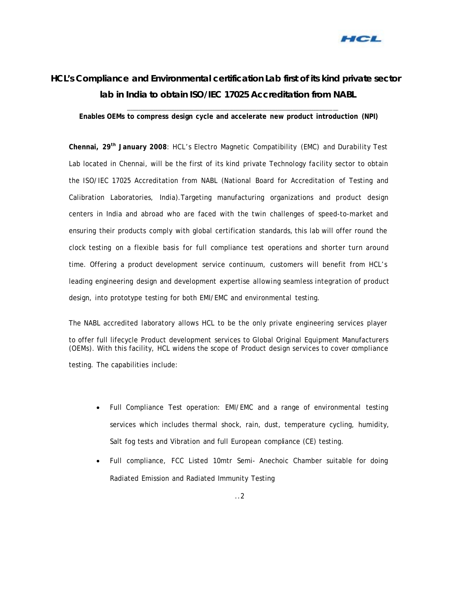

## **HCL's Compliance and Environmental certification Lab first of its kind private sector lab in India to obtain ISO/IEC 17025 Accreditation from NABL**

**\_\_\_\_\_\_\_\_\_\_\_\_\_\_\_\_\_\_\_\_\_\_\_\_\_\_\_\_\_\_\_\_\_\_\_\_\_\_\_\_\_\_\_\_\_\_\_\_\_\_\_\_\_\_\_\_\_\_\_\_\_\_\_\_\_\_\_\_\_\_\_\_\_\_\_\_\_\_\_\_\_\_\_\_\_\_\_\_\_\_\_\_\_\_\_\_\_\_\_\_\_\_\_\_\_\_\_\_\_\_\_ Enables OEMs to compress design cycle and accelerate new product introduction (NPI)** 

**Chennai, 29th January 2008**: HCL's Electro Magnetic Compatibility (EMC) and Durability Test Lab located in Chennai, will be the first of its kind private Technology facility sector to obtain the ISO/IEC 17025 Accreditation from NABL (National Board for Accreditation of Testing and Calibration Laboratories, India).Targeting manufacturing organizations and product design centers in India and abroad who are faced with the twin challenges of speed-to-market and ensuring their products comply with global certification standards, this lab will offer round the clock testing on a flexible basis for full compliance test operations and shorter turn around time. Offering a product development service continuum, customers will benefit from HCL's leading engineering design and development expertise allowing seamless integration of product design, into prototype testing for both EMI/EMC and environmental testing.

The NABL accredited laboratory allows HCL to be the only private engineering services player to offer full lifecycle Product development services to Global Original Equipment Manufacturers (OEMs). With this facility, HCL widens the scope of Product design services to cover compliance testing. The capabilities include:

- Full Compliance Test operation: EMI/EMC and a range of environmental testing services which includes thermal shock, rain, dust, temperature cycling, humidity, Salt fog tests and Vibration and full European compliance (CE) testing.
- Full compliance, FCC Listed 10mtr Semi- Anechoic Chamber suitable for doing Radiated Emission and Radiated Immunity Testing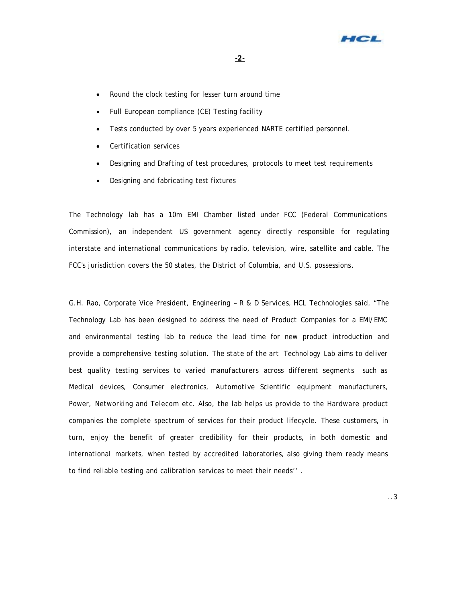

- Round the clock testing for lesser turn around time
- Full European compliance (CE) Testing facility
- Tests conducted by over 5 years experienced NARTE certified personnel.
- Certification services
- Designing and Drafting of test procedures, protocols to meet test requirements
- Designing and fabricating test fixtures

The Technology lab has a 10m EMI Chamber listed under FCC (Federal Communications Commission), an independent US government agency directly responsible for regulating interstate and international communications by radio, television, wire, satellite and cable. The FCC's jurisdiction covers the 50 states, the District of Columbia, and U.S. possessions.

G.H. Rao, Corporate Vice President, Engineering – R & D Services, HCL Technologies said, "The Technology Lab has been designed to address the need of Product Companies for a EMI/EMC and environmental testing lab to reduce the lead time for new product introduction and *provide a comprehensive testing solution. The state of the art Technology Lab aims to deliver best quality testing services to varied manufacturers across different segments such as Medical devices, Consumer electronics, Automotive* Scientific equipment manufacturers, Power, Networking and Telecom etc. Also, the lab helps us provide to the Hardware product companies the complete spectrum of services for their product lifecycle. These customers, in turn, enjoy the benefit of greater credibility for their products, in both domestic and international markets, when tested by accredited laboratories, also giving them ready means to find reliable testing and calibration services to meet their needs'' .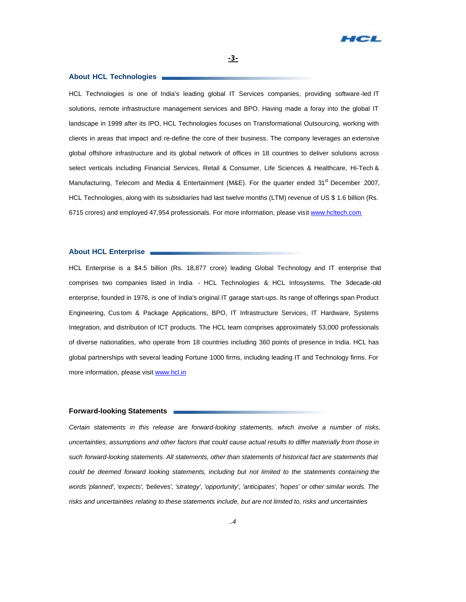

## **About HCL Technologies**

HCL Technologies is one of India's leading global IT Services companies, providing software-led IT solutions, remote infrastructure management services and BPO. Having made a foray into the global IT landscape in 1999 after its IPO, HCL Technologies focuses on Transformational Outsourcing, working with clients in areas that impact and re-define the core of their business. The company leverages an extensive global offshore infrastructure and its global network of offices in 18 countries to deliver solutions across select verticals including Financial Services, Retail & Consumer, Life Sciences & Healthcare, Hi-Tech & Manufacturing, Telecom and Media & Entertainment (M&E). For the quarter ended  $31<sup>st</sup>$  December 2007, HCL Technologies, along with its subsidiaries had last twelve months (LTM) revenue of US \$ 1.6 billion (Rs. 6715 crores) and employed 47,954 professionals. For more information, please visit www.hcltech.com

## **About HCL Enterprise**

HCL Enterprise is a \$4.5 billion (Rs. 18,877 crore) leading Global Technology and IT enterprise that comprises two companies listed in India - HCL Technologies & HCL Infosystems. The 3decade-old enterprise, founded in 1976, is one of India's original IT garage start-ups. Its range of offerings span Product Engineering, Cus tom & Package Applications, BPO, IT Infrastructure Services, IT Hardware, Systems Integration, and distribution of ICT products. The HCL team comprises approximately 53,000 professionals of diverse nationalities, who operate from 18 countries including 360 points of presence in India. HCL has global partnerships with several leading Fortune 1000 firms, including leading IT and Technology firms. For more information, please visit www.hcl.in

## **Forward-looking Statements**

*Certain statements in this release are forward-looking statements, which involve a number of risks, uncertainties, assumptions and other factors that could cause actual results to differ materially from those in such forward-looking statements. All statements, other than statements of historical fact are statements that*  could be deemed forward looking statements, including but not limited to the statements containing the *words 'planned', 'expects', 'believes', 'strategy', 'opportunity', 'anticipates', 'hopes' or other similar words. The risks and uncertainties relating to these statements include, but are not limited to, risks and uncertainties*